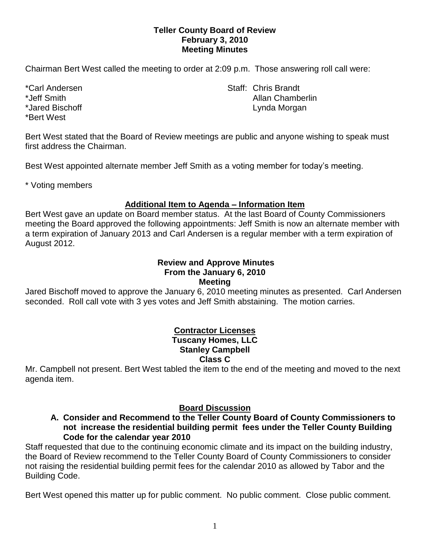## **Teller County Board of Review February 3, 2010 Meeting Minutes**

Chairman Bert West called the meeting to order at 2:09 p.m. Those answering roll call were:

\*Bert West

\*Carl Andersen North States and States States States States States States States States States States States States States States States States States States States States States States States States States States States S \*Jeff Smith Allan Chamberlin \*Jared Bischoff **Lynda Morgan** 

Bert West stated that the Board of Review meetings are public and anyone wishing to speak must first address the Chairman.

Best West appointed alternate member Jeff Smith as a voting member for today's meeting.

\* Voting members

# **Additional Item to Agenda – Information Item**

Bert West gave an update on Board member status. At the last Board of County Commissioners meeting the Board approved the following appointments: Jeff Smith is now an alternate member with a term expiration of January 2013 and Carl Andersen is a regular member with a term expiration of August 2012.

# **Review and Approve Minutes From the January 6, 2010 Meeting**

Jared Bischoff moved to approve the January 6, 2010 meeting minutes as presented. Carl Andersen seconded. Roll call vote with 3 yes votes and Jeff Smith abstaining. The motion carries.

### **Contractor Licenses Tuscany Homes, LLC Stanley Campbell Class C**

Mr. Campbell not present. Bert West tabled the item to the end of the meeting and moved to the next agenda item.

## **Board Discussion**

**A. Consider and Recommend to the Teller County Board of County Commissioners to not increase the residential building permit fees under the Teller County Building Code for the calendar year 2010**

Staff requested that due to the continuing economic climate and its impact on the building industry, the Board of Review recommend to the Teller County Board of County Commissioners to consider not raising the residential building permit fees for the calendar 2010 as allowed by Tabor and the Building Code.

Bert West opened this matter up for public comment. No public comment. Close public comment.